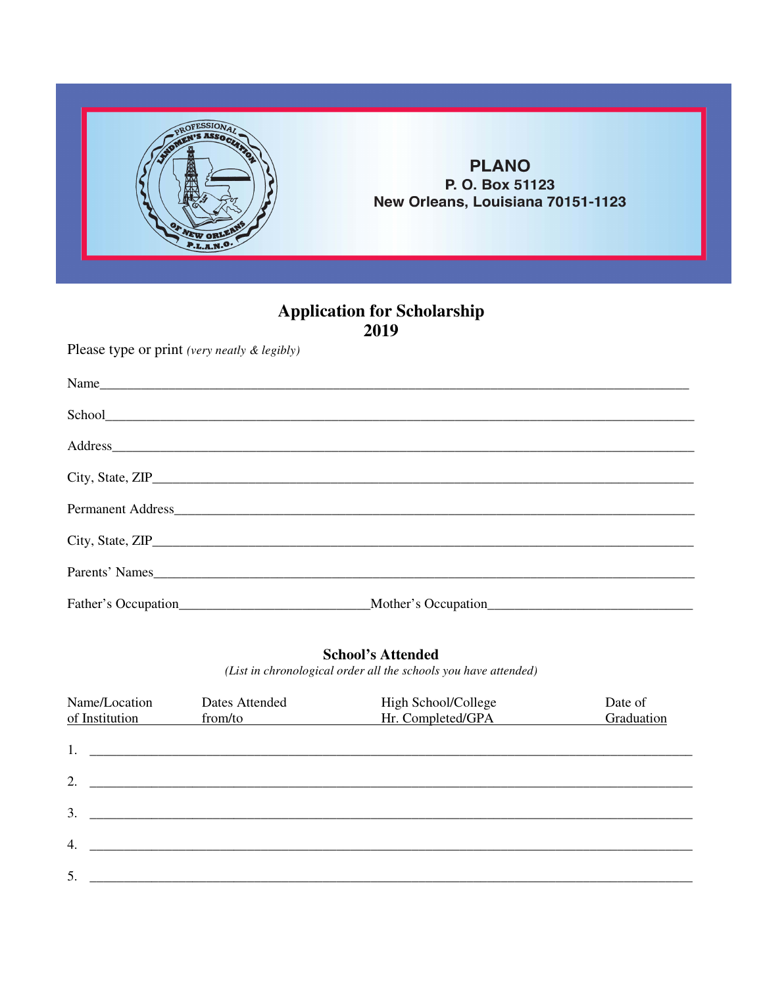

## **PLANO** P. O. Box 51123 New Orleans, Louisiana 70151-1123

# **Application for Scholarship<br>2019**

Please type or print (very neatly & legibly)

| Name                |                     |  |
|---------------------|---------------------|--|
|                     |                     |  |
|                     |                     |  |
|                     |                     |  |
|                     | Permanent Address   |  |
|                     |                     |  |
| Parents' Names      |                     |  |
| Father's Occupation | Mother's Occupation |  |

### **School's Attended**

(List in chronological order all the schools you have attended)

| Name/Location<br>of Institution | Dates Attended<br>from/to                                     | High School/College<br>Hr. Completed/GPA | Date of<br>Graduation |
|---------------------------------|---------------------------------------------------------------|------------------------------------------|-----------------------|
| 1.                              | <u> 1980 - Andrea Andrewski, amerikansk politik (d. 1980)</u> |                                          |                       |
| 2.                              |                                                               |                                          |                       |
| 3.                              |                                                               |                                          |                       |
| 4.                              |                                                               |                                          |                       |
| 5.                              |                                                               |                                          |                       |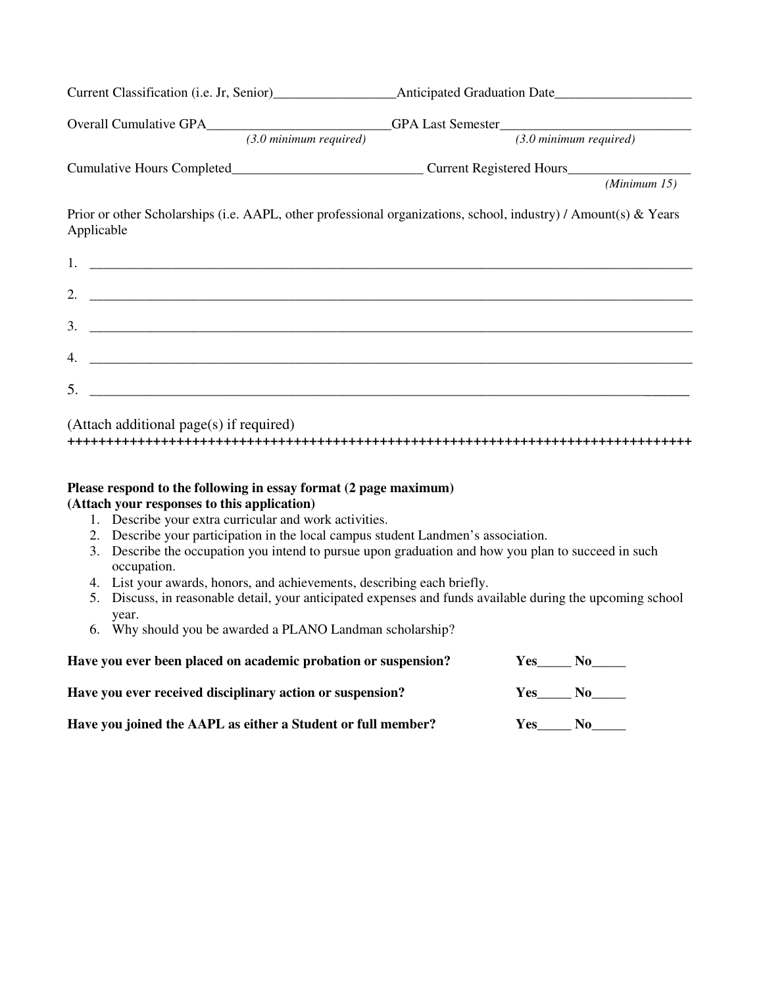| $(3.0 \text{ minimum required})$                                                                                                                                                                                                                                                                                       | $(3.0 \text{ minimum required})$ |
|------------------------------------------------------------------------------------------------------------------------------------------------------------------------------------------------------------------------------------------------------------------------------------------------------------------------|----------------------------------|
|                                                                                                                                                                                                                                                                                                                        |                                  |
|                                                                                                                                                                                                                                                                                                                        | (Minimum 15)                     |
| Prior or other Scholarships (i.e. AAPL, other professional organizations, school, industry) / Amount(s) & Years<br>Applicable                                                                                                                                                                                          |                                  |
|                                                                                                                                                                                                                                                                                                                        |                                  |
| 2. $\overline{\phantom{a}}$                                                                                                                                                                                                                                                                                            |                                  |
| $3.$ $\frac{1}{2}$ $\frac{1}{2}$ $\frac{1}{2}$ $\frac{1}{2}$ $\frac{1}{2}$ $\frac{1}{2}$ $\frac{1}{2}$ $\frac{1}{2}$ $\frac{1}{2}$ $\frac{1}{2}$ $\frac{1}{2}$ $\frac{1}{2}$ $\frac{1}{2}$ $\frac{1}{2}$ $\frac{1}{2}$ $\frac{1}{2}$ $\frac{1}{2}$ $\frac{1}{2}$ $\frac{1}{2}$ $\frac{1}{2}$ $\frac{1}{2}$ $\frac{1}{$ |                                  |
|                                                                                                                                                                                                                                                                                                                        |                                  |
| $5.$ $\overline{\phantom{a}}$                                                                                                                                                                                                                                                                                          |                                  |
| (Attach additional page(s) if required)                                                                                                                                                                                                                                                                                |                                  |

#### **Please respond to the following in essay format (2 page maximum) (Attach your responses to this application)**

- 1. Describe your extra curricular and work activities.
- 2. Describe your participation in the local campus student Landmen's association.
- 3. Describe the occupation you intend to pursue upon graduation and how you plan to succeed in such occupation.

**++++++++++++++++++++++++++++++++++++++++++++++++++++++++++++++++++++++++++++++++** 

- 4. List your awards, honors, and achievements, describing each briefly.
- 5. Discuss, in reasonable detail, your anticipated expenses and funds available during the upcoming school year.
- 6. Why should you be awarded a PLANO Landman scholarship?

| Have you ever been placed on academic probation or suspension? | Yes.       | $\bf{No}$      |
|----------------------------------------------------------------|------------|----------------|
| Have you ever received disciplinary action or suspension?      | <b>Yes</b> | N <sub>0</sub> |
| Have you joined the AAPL as either a Student or full member?   | Yes.       | No.            |